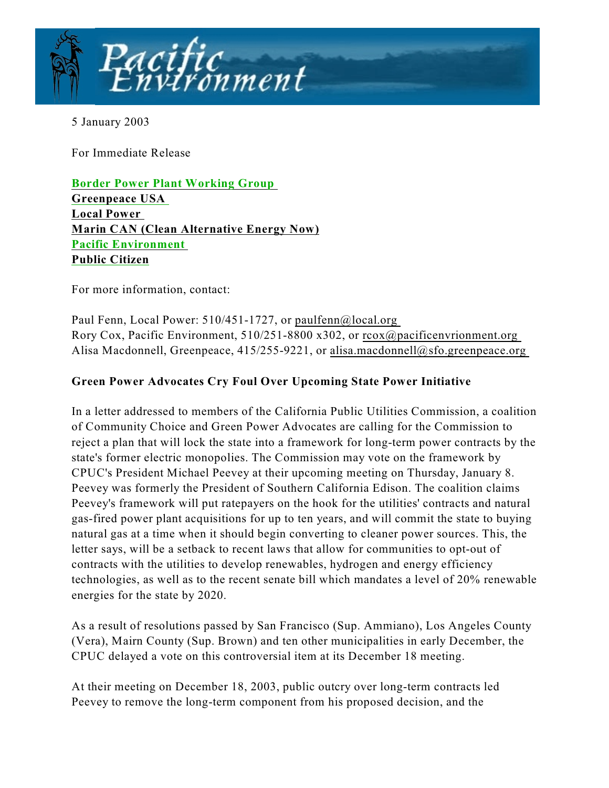

5 January 2003

For Immediate Release

**[Border Power Plant Working Group](http://www.borderpowerplants.org)  [Greenpeace USA](http://www.cleanenergynow.org)  [Local Power](http://www.local.org)  [Marin CAN \(Clean Alternative Energy Now\)](http://www.marincouncil.org) [Pacific Environment](http://www.marincouncil.org)  [Public Citizen](http://www.citizen.org/cmep)**

For more information, contact:

Paul Fenn, Local Power: 510/451-1727, or paulfenn@local.org Rory Cox, Pacific Environment, 510/251-8800 x302, or rcox@pacificenvrionment.org Alisa Macdonnell, Greenpeace, 415/255-9221, or alisa.macdonnell@sfo.greenpeace.org

## **Green Power Advocates Cry Foul Over Upcoming State Power Initiative**

In a letter addressed to members of the California Public Utilities Commission, a coalition of Community Choice and Green Power Advocates are calling for the Commission to reject a plan that will lock the state into a framework for long-term power contracts by the state's former electric monopolies. The Commission may vote on the framework by CPUC's President Michael Peevey at their upcoming meeting on Thursday, January 8. Peevey was formerly the President of Southern California Edison. The coalition claims Peevey's framework will put ratepayers on the hook for the utilities' contracts and natural gas-fired power plant acquisitions for up to ten years, and will commit the state to buying natural gas at a time when it should begin converting to cleaner power sources. This, the letter says, will be a setback to recent laws that allow for communities to opt-out of contracts with the utilities to develop renewables, hydrogen and energy efficiency technologies, as well as to the recent senate bill which mandates a level of 20% renewable energies for the state by 2020.

As a result of resolutions passed by San Francisco (Sup. Ammiano), Los Angeles County (Vera), Mairn County (Sup. Brown) and ten other municipalities in early December, the CPUC delayed a vote on this controversial item at its December 18 meeting.

At their meeting on December 18, 2003, public outcry over long-term contracts led Peevey to remove the long-term component from his proposed decision, and the